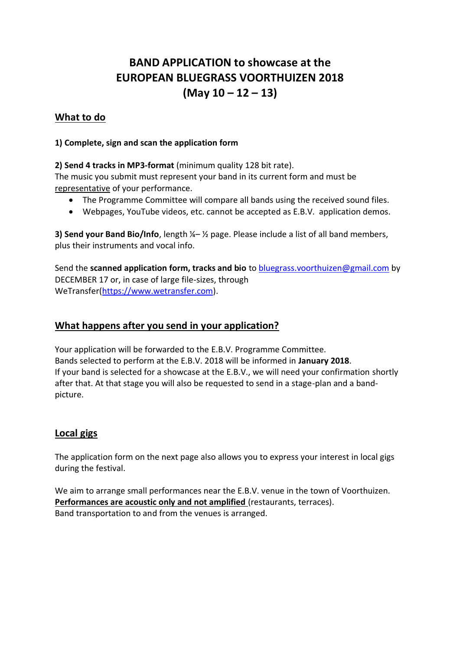# **BAND APPLICATION to showcase at the EUROPEAN BLUEGRASS VOORTHUIZEN 2018 (May 10 – 12 – 13)**

# **What to do**

### **1) Complete, sign and scan the application form**

### **2) Send 4 tracks in MP3-format** (minimum quality 128 bit rate).

The music you submit must represent your band in its current form and must be representative of your performance.

- The Programme Committee will compare all bands using the received sound files.
- Webpages, YouTube videos, etc. cannot be accepted as E.B.V. application demos.

**3) Send your Band Bio/Info**, length ¼– ½ page. Please include a list of all band members, plus their instruments and vocal info.

Send the **scanned application form, tracks and bio** t[o bluegrass.voorthuizen@gmail.com](mailto:bluegrass.voorthuizen@gmail.com) by DECEMBER 17 or, in case of large file-sizes, through WeTransfer[\(https://www.wetransfer.com\)](https://www.wetransfer.com/).

# **What happens after you send in your application?**

Your application will be forwarded to the E.B.V. Programme Committee. Bands selected to perform at the E.B.V. 2018 will be informed in **January 2018**. If your band is selected for a showcase at the E.B.V., we will need your confirmation shortly after that. At that stage you will also be requested to send in a stage-plan and a bandpicture.

# **Local gigs**

The application form on the next page also allows you to express your interest in local gigs during the festival.

We aim to arrange small performances near the E.B.V. venue in the town of Voorthuizen. **Performances are acoustic only and not amplified** (restaurants, terraces). Band transportation to and from the venues is arranged.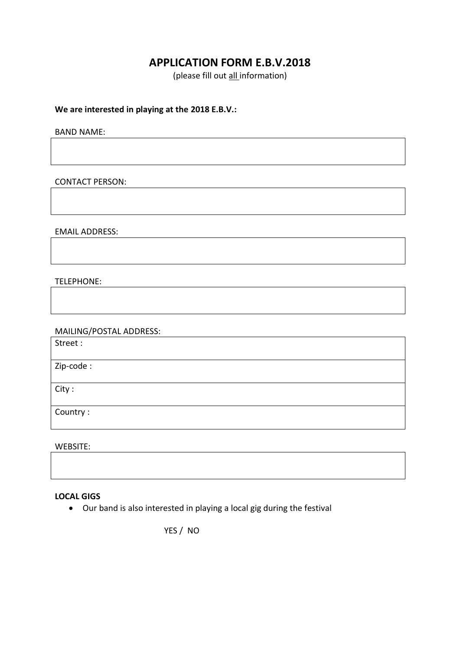# **APPLICATION FORM E.B.V.2018**

(please fill out all information)

#### **We are interested in playing at the 2018 E.B.V.:**

BAND NAME:

CONTACT PERSON:

EMAIL ADDRESS:

#### TELEPHONE:

MAILING/POSTAL ADDRESS:

Street :

Zip-code :

City :

Country :

WEBSITE:

#### **LOCAL GIGS**

• Our band is also interested in playing a local gig during the festival

YES / NO